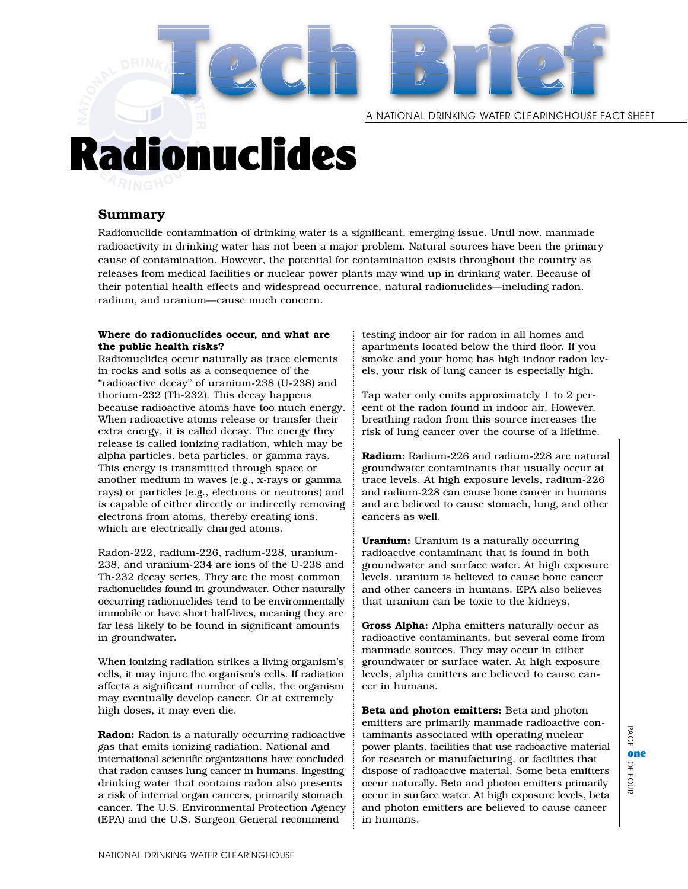A NATIONAL DRINKING WATER CLEARINGHOUSE FACT SHEET

# Radionuclides

#### **Summary**

Radionuclide contamination of drinking water is a significant, emerging issue. Until now, manmade radioactivity in drinking water has not been a major problem. Natural sources have been the primary cause of contamination. However, the potential for contamination exists throughout the country as releases from medical facilities or nuclear power plants may wind up in drinking water. Because of their potential health effects and widespread occurrence, natural radionuclides—including radon, radium, and uranium—cause much concern.

#### **Where do radionuclides occur, and what are the public health risks?**

Radionuclides occur naturally as trace elements in rocks and soils as a consequence of the "radioactive decay'' of uranium-238 (U-238) and thorium-232 (Th-232). This decay happens because radioactive atoms have too much energy. When radioactive atoms release or transfer their extra energy, it is called decay. The energy they release is called ionizing radiation, which may be alpha particles, beta particles, or gamma rays. This energy is transmitted through space or another medium in waves (e.g., x-rays or gamma rays) or particles (e.g., electrons or neutrons) and is capable of either directly or indirectly removing electrons from atoms, thereby creating ions, which are electrically charged atoms.

Radon-222, radium-226, radium-228, uranium-238, and uranium-234 are ions of the U-238 and Th-232 decay series. They are the most common radionuclides found in groundwater. Other naturally occurring radionuclides tend to be environmentally immobile or have short half-lives, meaning they are far less likely to be found in significant amounts in groundwater.

When ionizing radiation strikes a living organism's cells, it may injure the organism's cells. If radiation affects a significant number of cells, the organism may eventually develop cancer. Or at extremely high doses, it may even die.

**Radon:** Radon is a naturally occurring radioactive gas that emits ionizing radiation. National and international scientific organizations have concluded that radon causes lung cancer in humans. Ingesting drinking water that contains radon also presents a risk of internal organ cancers, primarily stomach cancer. The U.S. Environmental Protection Agency (EPA) and the U.S. Surgeon General recommend

testing indoor air for radon in all homes and apartments located below the third floor. If you smoke and your home has high indoor radon levels, your risk of lung cancer is especially high.

Tap water only emits approximately 1 to 2 percent of the radon found in indoor air. However, breathing radon from this source increases the risk of lung cancer over the course of a lifetime.

**Radium:** Radium-226 and radium-228 are natural groundwater contaminants that usually occur at trace levels. At high exposure levels, radium-226 and radium-228 can cause bone cancer in humans and are believed to cause stomach, lung, and other cancers as well.

**Uranium:** Uranium is a naturally occurring radioactive contaminant that is found in both groundwater and surface water. At high exposure levels, uranium is believed to cause bone cancer and other cancers in humans. EPA also believes that uranium can be toxic to the kidneys.

**Gross Alpha:** Alpha emitters naturally occur as radioactive contaminants, but several come from manmade sources. They may occur in either groundwater or surface water. At high exposure levels, alpha emitters are believed to cause cancer in humans.

**Beta and photon emitters:** Beta and photon emitters are primarily manmade radioactive contaminants associated with operating nuclear power plants, facilities that use radioactive material for research or manufacturing, or facilities that dispose of radioactive material. Some beta emitters occur naturally. Beta and photon emitters primarily occur in surface water. At high exposure levels, beta and photon emitters are believed to cause cancer in humans.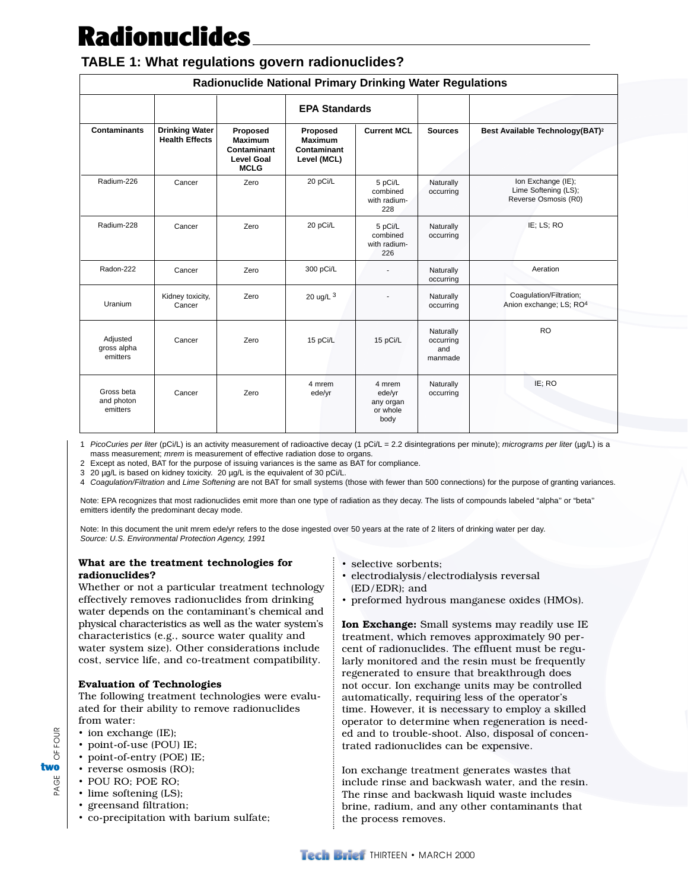# Radionuclides

## **TABLE 1: What regulations govern radionuclides?**

| <b>Radionuclide National Primary Drinking Water Regulations</b> |                                                |                                                                               |                                                          |                                                   |                                          |                                                                    |  |
|-----------------------------------------------------------------|------------------------------------------------|-------------------------------------------------------------------------------|----------------------------------------------------------|---------------------------------------------------|------------------------------------------|--------------------------------------------------------------------|--|
|                                                                 |                                                |                                                                               | <b>EPA Standards</b>                                     |                                                   |                                          |                                                                    |  |
| <b>Contaminants</b>                                             | <b>Drinking Water</b><br><b>Health Effects</b> | Proposed<br><b>Maximum</b><br>Contaminant<br><b>Level Goal</b><br><b>MCLG</b> | Proposed<br><b>Maximum</b><br>Contaminant<br>Level (MCL) | <b>Current MCL</b>                                | <b>Sources</b>                           | Best Available Technology(BAT) <sup>2</sup>                        |  |
| Radium-226                                                      | Cancer                                         | Zero                                                                          | 20 pCi/L                                                 | 5 pCi/L<br>combined<br>with radium-<br>228        | Naturally<br>occurring                   | Ion Exchange (IE);<br>Lime Softening (LS);<br>Reverse Osmosis (R0) |  |
| Radium-228                                                      | Cancer                                         | Zero                                                                          | 20 pCi/L                                                 | 5 pCi/L<br>combined<br>with radium-<br>226        | Naturally<br>occurring                   | IE: LS: RO                                                         |  |
| Radon-222                                                       | Cancer                                         | Zero                                                                          | 300 pCi/L                                                |                                                   | Naturally<br>occurring                   | Aeration                                                           |  |
| Uranium                                                         | Kidney toxicity,<br>Cancer                     | Zero                                                                          | 20 ug/L $3$                                              |                                                   | Naturally<br>occurring                   | Coagulation/Filtration;<br>Anion exchange; LS; RO4                 |  |
| Adjusted<br>gross alpha<br>emitters                             | Cancer                                         | Zero                                                                          | 15 pCi/L                                                 | 15 pCi/L                                          | Naturally<br>occurring<br>and<br>manmade | <b>RO</b>                                                          |  |
| Gross beta<br>and photon<br>emitters                            | Cancer                                         | Zero                                                                          | 4 mrem<br>ede/yr                                         | 4 mrem<br>ede/yr<br>any organ<br>or whole<br>body | Naturally<br>occurring                   | IE; RO                                                             |  |

1 PicoCuries per liter (pCi/L) is an activity measurement of radioactive decay (1 pCi/L = 2.2 disintegrations per minute); micrograms per liter (µg/L) is a mass measurement; mrem is measurement of effective radiation dose to organs.

2 Except as noted, BAT for the purpose of issuing variances is the same as BAT for compliance.

3 20 µg/L is based on kidney toxicity. 20 µg/L is the equivalent of 30 pCi/L.

4 Coagulation/Filtration and Lime Softening are not BAT for small systems (those with fewer than 500 connections) for the purpose of granting variances.

Note: EPA recognizes that most radionuclides emit more than one type of radiation as they decay. The lists of compounds labeled "alpha'' or "beta'' emitters identify the predominant decay mode.

Note: In this document the unit mrem ede/yr refers to the dose ingested over 50 years at the rate of 2 liters of drinking water per day. Source: U.S. Environmental Protection Agency, 1991

#### **What are the treatment technologies for radionuclides?**

Whether or not a particular treatment technology effectively removes radionuclides from drinking water depends on the contaminant's chemical and physical characteristics as well as the water system's characteristics (e.g., source water quality and water system size). Other considerations include cost, service life, and co-treatment compatibility.

#### **Evaluation of Technologies**

The following treatment technologies were evaluated for their ability to remove radionuclides from water:

- ion exchange (IE);
- point-of-use (POU) IE;
- point-of-entry (POE) IE;
- reverse osmosis (RO);
- POU RO; POE RO;
- lime softening (LS);
- greensand filtration;
- co-precipitation with barium sulfate;

• selective sorbents;

- electrodialysis/electrodialysis reversal (ED/EDR); and
- preformed hydrous manganese oxides (HMOs).

**Ion Exchange:** Small systems may readily use IE treatment, which removes approximately 90 percent of radionuclides. The effluent must be regularly monitored and the resin must be frequently regenerated to ensure that breakthrough does not occur. Ion exchange units may be controlled automatically, requiring less of the operator's time. However, it is necessary to employ a skilled operator to determine when regeneration is needed and to trouble-shoot. Also, disposal of concentrated radionuclides can be expensive.

Ion exchange treatment generates wastes that include rinse and backwash water, and the resin. The rinse and backwash liquid waste includes brine, radium, and any other contaminants that the process removes.

OF FOUR PAGE OF FOUR two

PAGE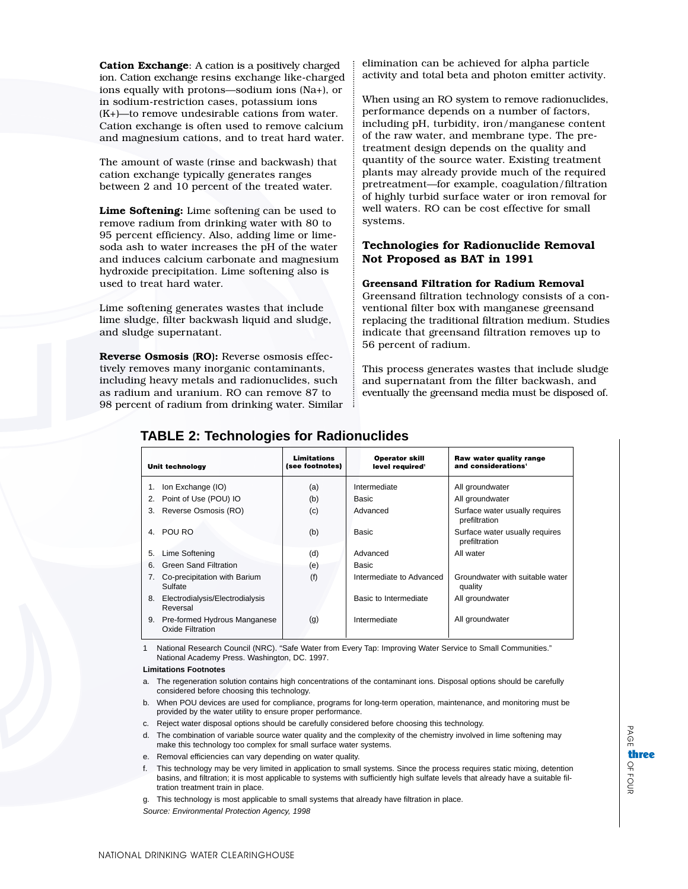**Cation Exchange**: A cation is a positively charged ion. Cation exchange resins exchange like-charged ions equally with protons—sodium ions (Na+), or in sodium-restriction cases, potassium ions (K+)—to remove undesirable cations from water. Cation exchange is often used to remove calcium and magnesium cations, and to treat hard water.

The amount of waste (rinse and backwash) that cation exchange typically generates ranges between 2 and 10 percent of the treated water.

**Lime Softening:** Lime softening can be used to remove radium from drinking water with 80 to 95 percent efficiency. Also, adding lime or limesoda ash to water increases the pH of the water and induces calcium carbonate and magnesium hydroxide precipitation. Lime softening also is used to treat hard water.

Lime softening generates wastes that include lime sludge, filter backwash liquid and sludge, and sludge supernatant.

**Reverse Osmosis (RO):** Reverse osmosis effectively removes many inorganic contaminants, including heavy metals and radionuclides, such as radium and uranium. RO can remove 87 to 98 percent of radium from drinking water. Similar elimination can be achieved for alpha particle activity and total beta and photon emitter activity.

When using an RO system to remove radionuclides, performance depends on a number of factors, including pH, turbidity, iron/manganese content of the raw water, and membrane type. The pretreatment design depends on the quality and quantity of the source water. Existing treatment plants may already provide much of the required pretreatment—for example, coagulation/filtration of highly turbid surface water or iron removal for well waters. RO can be cost effective for small systems.

#### **Technologies for Radionuclide Removal Not Proposed as BAT in 1991**

#### **Greensand Filtration for Radium Removal**

Greensand filtration technology consists of a conventional filter box with manganese greensand replacing the traditional filtration medium. Studies indicate that greensand filtration removes up to 56 percent of radium.

This process generates wastes that include sludge and supernatant from the filter backwash, and eventually the greensand media must be disposed of.

| <b>Unit technology</b>                                 | Limitations<br>(see footnotes) | <b>Operator skill</b><br>level required <sup>1</sup> | Raw water quality range<br>and considerations'  |
|--------------------------------------------------------|--------------------------------|------------------------------------------------------|-------------------------------------------------|
| Ion Exchange (IO)<br>1.                                | (a)                            | Intermediate                                         | All groundwater                                 |
| Point of Use (POU) IO<br>2.                            | (b)                            | Basic                                                | All groundwater                                 |
| Reverse Osmosis (RO)<br>3.                             | (c)                            | Advanced                                             | Surface water usually requires<br>prefiltration |
| POU RO<br>4                                            | (b)                            | Basic                                                | Surface water usually requires<br>prefiltration |
| Lime Softening<br>5.                                   | (d)                            | Advanced                                             | All water                                       |
| <b>Green Sand Filtration</b><br>6.                     | (e)                            | Basic                                                |                                                 |
| Co-precipitation with Barium<br>7.<br>Sulfate          | (f)                            | Intermediate to Advanced                             | Groundwater with suitable water<br>quality      |
| Electrodialysis/Electrodialysis<br>8.<br>Reversal      |                                | Basic to Intermediate                                | All groundwater                                 |
| Pre-formed Hydrous Manganese<br>9.<br>Oxide Filtration | (g)                            | Intermediate                                         | All groundwater                                 |

### **TABLE 2: Technologies for Radionuclides**

1 National Research Council (NRC). "Safe Water from Every Tap: Improving Water Service to Small Communities." National Academy Press. Washington, DC. 1997.

#### **Limitations Footnotes**

- a. The regeneration solution contains high concentrations of the contaminant ions. Disposal options should be carefully considered before choosing this technology.
- b. When POU devices are used for compliance, programs for long-term operation, maintenance, and monitoring must be provided by the water utility to ensure proper performance.
- c. Reject water disposal options should be carefully considered before choosing this technology.
- d. The combination of variable source water quality and the complexity of the chemistry involved in lime softening may make this technology too complex for small surface water systems.
- e. Removal efficiencies can vary depending on water quality.
- f. This technology may be very limited in application to small systems. Since the process requires static mixing, detention basins, and filtration; it is most applicable to systems with sufficiently high sulfate levels that already have a suitable filtration treatment train in place.

g. This technology is most applicable to small systems that already have filtration in place.

Source: Environmental Protection Agency, 1998

PAGE PAGE OFthree OF FOUR